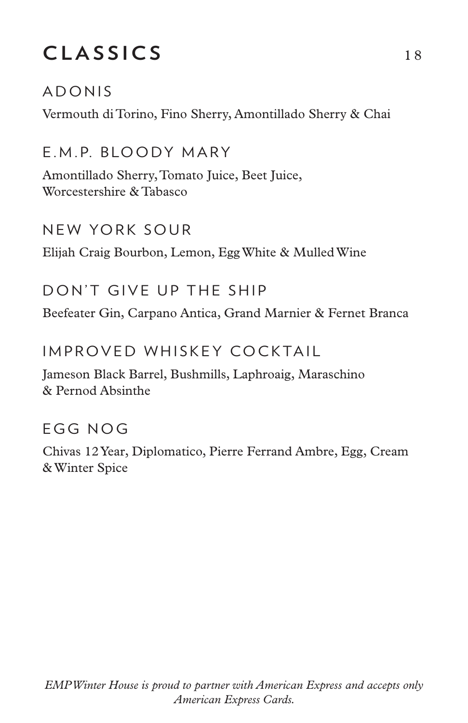# CLASSICS 18

### ADONIS

Vermouth di Torino, Fino Sherry, Amontillado Sherry & Chai

E.M.P. BLOODY MARY

Amontillado Sherry, Tomato Juice, Beet Juice, Worcestershire & Tabasco

### NEW YORK SOUR

Elijah Craig Bourbon, Lemon, Egg White & Mulled Wine

## DON'T GIVE UP THE SHIP

Beefeater Gin, Carpano Antica, Grand Marnier & Fernet Branca

## IMPROVED WHISKEY COCKTAIL

Jameson Black Barrel, Bushmills, Laphroaig, Maraschino & Pernod Absinthe

## EGG NOG

Chivas 12 Year, Diplomatico, Pierre Ferrand Ambre, Egg, Cream & Winter Spice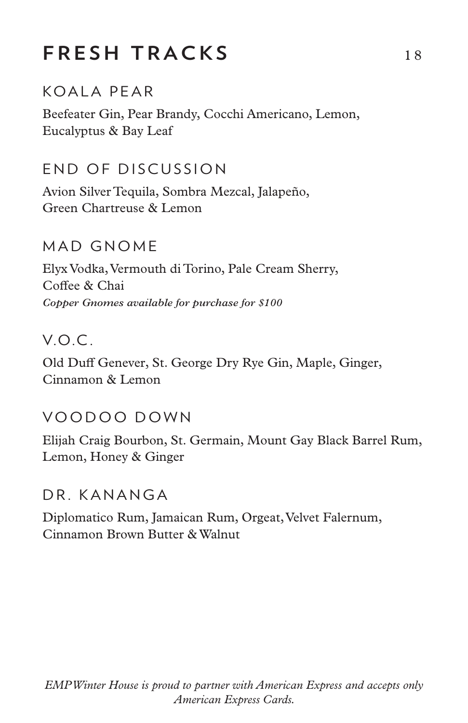## **FRESH TRACKS** 18

## KOALA PEAR

Beefeater Gin, Pear Brandy, Cocchi Americano, Lemon, Eucalyptus & Bay Leaf

### END OF DISCUSSION

Avion Silver Tequila, Sombra Mezcal, Jalapeño, Green Chartreuse & Lemon

#### MAD GNOME

Elyx Vodka, Vermouth di Torino, Pale Cream Sherry, Coffee & Chai *Copper Gnomes available for purchase for \$100*

#### V.O.C .

Old Duff Genever, St. George Dry Rye Gin, Maple, Ginger, Cinnamon & Lemon

#### VOODOO DOWN

Elijah Craig Bourbon, St. Germain, Mount Gay Black Barrel Rum, Lemon, Honey & Ginger

#### DR. KANANGA

Diplomatico Rum, Jamaican Rum, Orgeat, Velvet Falernum, Cinnamon Brown Butter & Walnut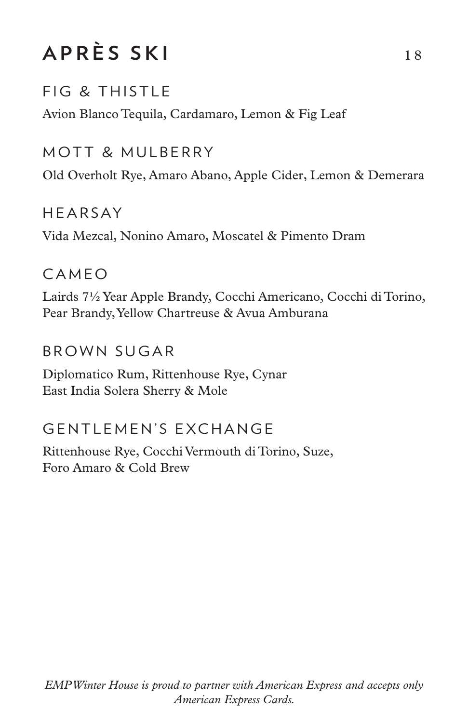# **APRÈS SKI** 18

## FIG & THISTLE

Avion Blanco Tequila, Cardamaro, Lemon & Fig Leaf

### MOTT & MULBERRY

Old Overholt Rye, Amaro Abano, Apple Cider, Lemon & Demerara

### **HFARSAY**

Vida Mezcal, Nonino Amaro, Moscatel & Pimento Dram

### **CAMEO**

Lairds 7½ Year Apple Brandy, Cocchi Americano, Cocchi di Torino, Pear Brandy, Yellow Chartreuse & Avua Amburana

### BROWN SUGAR

Diplomatico Rum, Rittenhouse Rye, Cynar East India Solera Sherry & Mole

## GENTLEMEN'S EXCHANGE

Rittenhouse Rye, Cocchi Vermouth di Torino, Suze, Foro Amaro & Cold Brew